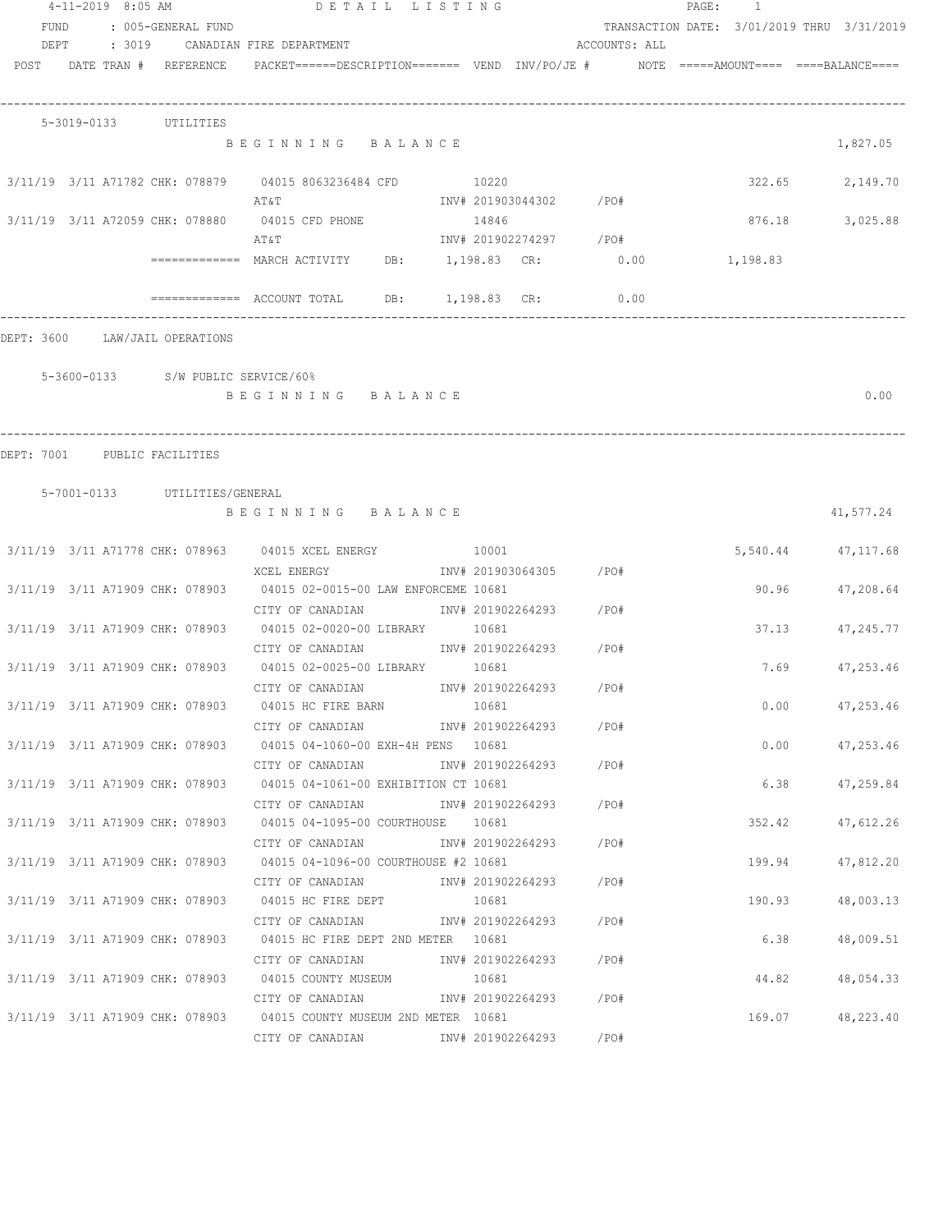|            | $4 - 11 - 2019$ 8:05 AM |                                    | DETAIL LISTING                                                                                                                                        |       |                        |               | PAGE:<br>1                                 |                    |
|------------|-------------------------|------------------------------------|-------------------------------------------------------------------------------------------------------------------------------------------------------|-------|------------------------|---------------|--------------------------------------------|--------------------|
| FUND       |                         | : 005-GENERAL FUND                 |                                                                                                                                                       |       |                        |               | TRANSACTION DATE: 3/01/2019 THRU 3/31/2019 |                    |
| DEPT       |                         |                                    | : 3019 CANADIAN FIRE DEPARTMENT                                                                                                                       |       |                        | ACCOUNTS: ALL |                                            |                    |
|            |                         |                                    | $POST$ $DATA$ $\#$ $REFERENCE$ $PACKET$ $=$ $=$ $=$ $DESCRIPTION$ $=$ $=$ $=$ $VEND$ $INV/PO/JE$ $\#$ $NOTE$ $=$ $=$ $=$ $=$ $=$ $=$ $BLANCE$ $=$ $=$ |       |                        |               |                                            |                    |
|            |                         |                                    |                                                                                                                                                       |       |                        |               |                                            |                    |
|            |                         | 5-3019-0133 UTILITIES              |                                                                                                                                                       |       |                        |               |                                            |                    |
|            |                         |                                    | BEGINNING BALANCE                                                                                                                                     |       |                        |               |                                            | 1,827.05           |
|            |                         |                                    | 3/11/19 3/11 A71782 CHK: 078879 04015 8063236484 CFD 10220                                                                                            |       |                        |               | 322.65                                     | 2,149.70           |
|            |                         |                                    | A T & T                                                                                                                                               |       | INV# 201903044302 /PO# |               |                                            |                    |
|            |                         |                                    | 3/11/19 3/11 A72059 CHK: 078880 04015 CFD PHONE                                                                                                       | 14846 |                        |               | 876.18                                     | 3,025.88           |
|            |                         |                                    | AΤ&Τ                                                                                                                                                  |       | INV# 201902274297 /PO# |               |                                            |                    |
|            |                         |                                    |                                                                                                                                                       |       |                        |               | 1,198.83                                   |                    |
|            |                         |                                    | ============= ACCOUNT TOTAL DB: 1,198.83 CR:                                                                                                          |       |                        | 0.00          |                                            |                    |
| DEPT: 3600 |                         | LAW/JAIL OPERATIONS                |                                                                                                                                                       |       |                        |               |                                            |                    |
|            |                         |                                    |                                                                                                                                                       |       |                        |               |                                            |                    |
|            |                         | 5-3600-0133 S/W PUBLIC SERVICE/60% |                                                                                                                                                       |       |                        |               |                                            |                    |
|            |                         |                                    | BEGINNING BALANCE                                                                                                                                     |       |                        |               |                                            | 0.00               |
|            |                         |                                    |                                                                                                                                                       |       |                        |               |                                            |                    |
|            |                         | DEPT: 7001 PUBLIC FACILITIES       |                                                                                                                                                       |       |                        |               |                                            |                    |
|            |                         |                                    |                                                                                                                                                       |       |                        |               |                                            |                    |
|            |                         | 5-7001-0133 UTILITIES/GENERAL      | BEGINNING BALANCE                                                                                                                                     |       |                        |               |                                            | 41,577.24          |
|            |                         |                                    |                                                                                                                                                       |       |                        |               |                                            |                    |
|            |                         |                                    | 3/11/19 3/11 A71778 CHK: 078963 04015 XCEL ENERGY 10001                                                                                               |       |                        |               |                                            | 5,540.44 47,117.68 |
|            |                         |                                    | XCEL ENERGY                         INV# 201903064305       /PO#                                                                                      |       |                        |               |                                            |                    |
|            |                         |                                    | 3/11/19 3/11 A71909 CHK: 078903 04015 02-0015-00 LAW ENFORCEME 10681                                                                                  |       |                        |               | 90.96                                      | 47,208.64          |
|            |                         |                                    | CITY OF CANADIAN 1NV# 201902264293 / PO#                                                                                                              |       |                        |               |                                            |                    |
|            |                         |                                    | 3/11/19 3/11 A71909 CHK: 078903 04015 02-0020-00 LIBRARY 10681                                                                                        |       |                        |               | 37.13                                      | 47,245.77          |
|            |                         |                                    | CITY OF CANADIAN                                                                                                                                      |       | INV# 201902264293 /PO# |               |                                            |                    |
|            |                         |                                    | 3/11/19 3/11 A71909 CHK: 078903 04015 02-0025-00 LIBRARY 10681                                                                                        |       |                        |               |                                            | 7.69<br>47,253.46  |
|            |                         |                                    | CITY OF CANADIAN                                                                                                                                      |       | INV# 201902264293      | /PO#          |                                            |                    |
|            |                         |                                    | 3/11/19 3/11 A71909 CHK: 078903 04015 HC FIRE BARN                                                                                                    | 10681 |                        |               |                                            | $0.00$ $47,253.46$ |
|            |                         |                                    | CITY OF CANADIAN                                                                                                                                      |       | INV# 201902264293 /PO# |               |                                            |                    |
|            |                         |                                    | 3/11/19 3/11 A71909 CHK: 078903 04015 04-1060-00 EXH-4H PENS 10681                                                                                    |       |                        |               |                                            | 0.00<br>47,253.46  |
|            |                         |                                    | CITY OF CANADIAN 1NV# 201902264293 / PO#                                                                                                              |       |                        |               |                                            |                    |
|            |                         |                                    | 3/11/19 3/11 A71909 CHK: 078903 04015 04-1061-00 EXHIBITION CT 10681                                                                                  |       |                        |               | 6.38                                       | 47,259.84          |
|            |                         |                                    | CITY OF CANADIAN 1NV# 201902264293 / PO#                                                                                                              |       |                        |               |                                            |                    |
|            |                         |                                    | 3/11/19 3/11 A71909 CHK: 078903 04015 04-1095-00 COURTHOUSE 10681                                                                                     |       |                        |               | 352.42                                     | 47,612.26          |
|            |                         |                                    |                                                                                                                                                       |       |                        |               |                                            |                    |
|            |                         |                                    | $3/11/19$ $3/11$ A71909 CHK: 078903 04015 04-1096-00 COURTHOUSE #2 10681                                                                              |       |                        |               | 199.94                                     | 47,812.20          |
|            |                         |                                    | CITY OF CANADIAN                 INV# 201902264293           /PO#                                                                                     |       |                        |               |                                            |                    |
|            |                         |                                    | 3/11/19 3/11 A71909 CHK: 078903 04015 HC FIRE DEPT 10681                                                                                              |       |                        |               | 190.93                                     | 48,003.13          |
|            |                         |                                    | CITY OF CANADIAN                         INV# 201902264293           /PO#                                                                             |       |                        |               |                                            |                    |
|            |                         |                                    | 3/11/19 3/11 A71909 CHK: 078903 04015 HC FIRE DEPT 2ND METER 10681                                                                                    |       |                        |               | 6.38                                       | 48,009.51          |
|            |                         |                                    | CITY OF CANADIAN                                                                                                                                      |       | INV# 201902264293 /PO# |               |                                            |                    |
|            |                         |                                    | 3/11/19 3/11 A71909 CHK: 078903 04015 COUNTY MUSEUM                                                                                                   | 10681 |                        |               | 44.82                                      | 48,054.33          |
|            |                         |                                    | CITY OF CANADIAN                                                                                                                                      |       | INV# 201902264293 /PO# |               |                                            |                    |
|            |                         |                                    | 3/11/19 3/11 A71909 CHK: 078903 04015 COUNTY MUSEUM 2ND METER 10681                                                                                   |       |                        |               |                                            | 169.07 48,223.40   |
|            |                         |                                    | CITY OF CANADIAN                                                                                                                                      |       | INV# 201902264293 /PO# |               |                                            |                    |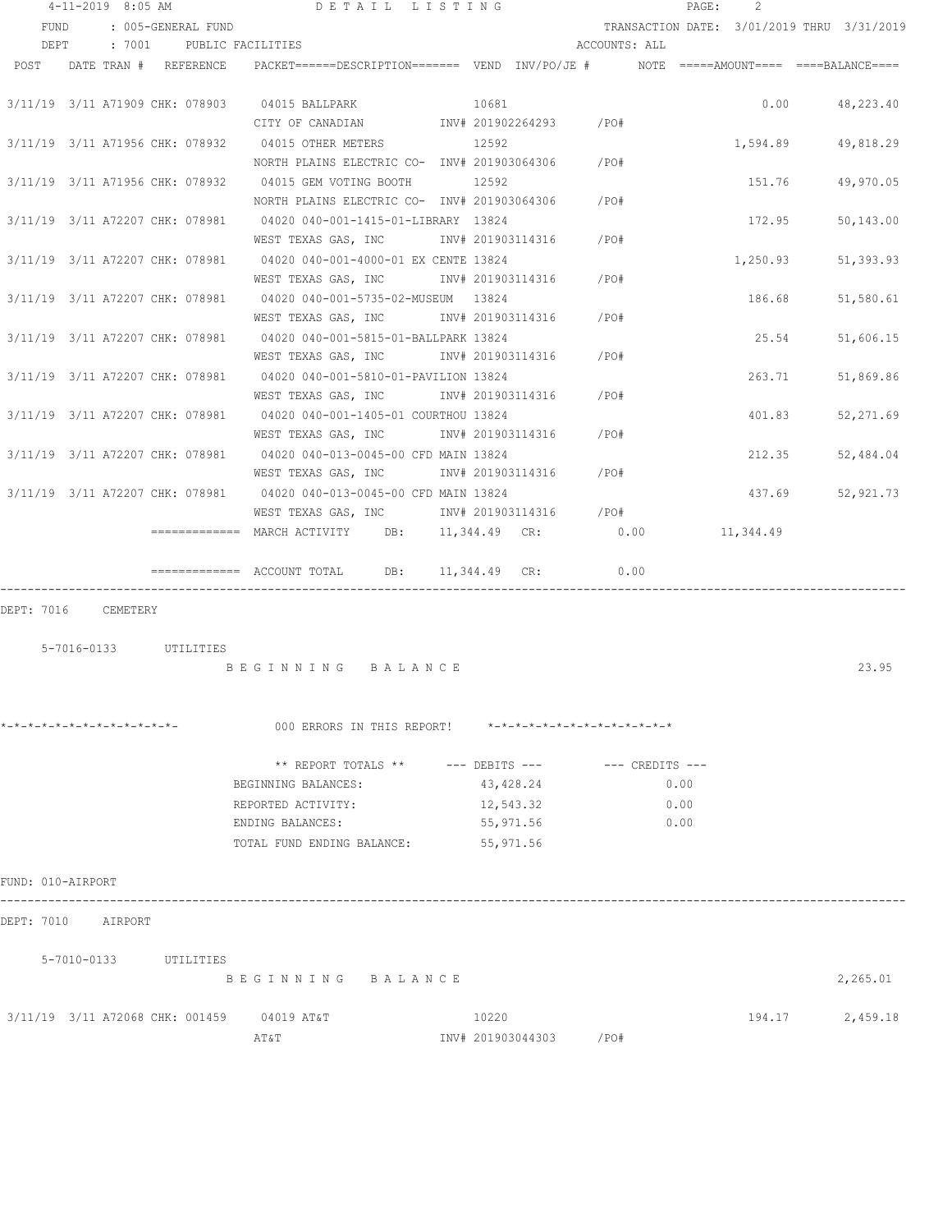|                              | $4 - 11 - 2019$ 8:05 AM |                       | DETAIL LISTING                                                                       |                   |                               |      | PAGE: | 2                                          |           |
|------------------------------|-------------------------|-----------------------|--------------------------------------------------------------------------------------|-------------------|-------------------------------|------|-------|--------------------------------------------|-----------|
| FUND                         |                         | : 005-GENERAL FUND    |                                                                                      |                   |                               |      |       | TRANSACTION DATE: 3/01/2019 THRU 3/31/2019 |           |
| DEPT                         |                         |                       | : 7001 PUBLIC FACILITIES                                                             |                   | ACCOUNTS: ALL                 |      |       |                                            |           |
| POST                         |                         | DATE TRAN # REFERENCE | PACKET======DESCRIPTION======= VEND INV/PO/JE # NOTE =====AMOUNT==== ====BALANCE==== |                   |                               |      |       |                                            |           |
|                              |                         |                       |                                                                                      |                   |                               |      |       |                                            |           |
|                              |                         |                       | 3/11/19 3/11 A71909 CHK: 078903 04015 BALLPARK                                       | 10681             |                               |      |       | 0.00                                       | 48,223.40 |
|                              |                         |                       |                                                                                      |                   |                               |      |       |                                            |           |
|                              |                         |                       | 3/11/19 3/11 A71956 CHK: 078932 04015 OTHER METERS 12592                             |                   |                               |      |       | 1,594.89                                   | 49,818.29 |
|                              |                         |                       | NORTH PLAINS ELECTRIC CO- INV# 201903064306 / PO#                                    |                   |                               |      |       |                                            |           |
|                              |                         |                       | 3/11/19 3/11 A71956 CHK: 078932 04015 GEM VOTING BOOTH 12592                         |                   |                               |      |       | 151.76                                     | 49,970.05 |
|                              |                         |                       | NORTH PLAINS ELECTRIC CO- INV# 201903064306                                          |                   | /PO#                          |      |       |                                            |           |
|                              |                         |                       | 3/11/19 3/11 A72207 CHK: 078981 04020 040-001-1415-01-LIBRARY 13824                  |                   |                               |      |       | 172.95                                     | 50,143.00 |
|                              |                         |                       | WEST TEXAS GAS, INC                                                                  | INV# 201903114316 | $/$ PO#                       |      |       |                                            |           |
|                              |                         |                       | 3/11/19 3/11 A72207 CHK: 078981 04020 040-001-4000-01 EX CENTE 13824                 |                   |                               |      |       | 1,250.93                                   | 51,393.93 |
|                              |                         |                       | WEST TEXAS GAS, INC NOT INV# 201903114316                                            |                   | /PO#                          |      |       |                                            |           |
|                              |                         |                       | 3/11/19 3/11 A72207 CHK: 078981 04020 040-001-5735-02-MUSEUM 13824                   |                   |                               |      |       | 186.68                                     | 51,580.61 |
|                              |                         |                       | WEST TEXAS GAS, INC                                                                  | INV# 201903114316 | /PO#                          |      |       |                                            |           |
|                              |                         |                       | 3/11/19 3/11 A72207 CHK: 078981 04020 040-001-5815-01-BALLPARK 13824                 |                   |                               |      |       | 25.54                                      | 51,606.15 |
|                              |                         |                       | WEST TEXAS GAS, INC                                                                  |                   | INV# 201903114316 / PO#       |      |       |                                            |           |
|                              |                         |                       | 3/11/19 3/11 A72207 CHK: 078981 04020 040-001-5810-01-PAVILION 13824                 |                   |                               |      |       | 263.71                                     | 51,869.86 |
|                              |                         |                       | WEST TEXAS GAS, INC METALLY 201903114316 / PO#                                       |                   |                               |      |       |                                            |           |
|                              |                         |                       | 3/11/19 3/11 A72207 CHK: 078981 04020 040-001-1405-01 COURTHOU 13824                 |                   |                               |      |       | 401.83                                     | 52,271.69 |
|                              |                         |                       | WEST TEXAS GAS, INC MONTH 201903114316                                               |                   | /PO#                          |      |       |                                            |           |
|                              |                         |                       | 3/11/19 3/11 A72207 CHK: 078981 04020 040-013-0045-00 CFD MAIN 13824                 |                   |                               |      |       | 212.35                                     | 52,484.04 |
|                              |                         |                       | WEST TEXAS GAS, INC NOT INV# 201903114316                                            |                   | / PO#                         |      |       |                                            |           |
|                              |                         |                       | 3/11/19 3/11 A72207 CHK: 078981 04020 040-013-0045-00 CFD MAIN 13824                 |                   |                               |      |       | 437.69                                     | 52,921.73 |
|                              |                         |                       | WEST TEXAS GAS, INC MOV# 201903114316 / PO#                                          |                   |                               |      |       |                                            |           |
|                              |                         |                       | ============= MARCH ACTIVITY DB: 11,344.49 CR: 0.00                                  |                   |                               |      |       | 11,344.49                                  |           |
|                              |                         |                       |                                                                                      |                   |                               |      |       |                                            |           |
|                              |                         |                       | $\overline{\phantom{X}}$ ============= ACCOUNT TOTAL DB: 11,344.49 CR:               |                   | 0.00                          |      |       |                                            |           |
|                              |                         |                       |                                                                                      |                   |                               |      |       |                                            |           |
| DEPT: 7016 CEMETERY          |                         |                       |                                                                                      |                   |                               |      |       |                                            |           |
|                              |                         |                       |                                                                                      |                   |                               |      |       |                                            |           |
|                              |                         | 5-7016-0133 UTILITIES |                                                                                      |                   |                               |      |       |                                            |           |
|                              |                         |                       | BEGINNING BALANCE                                                                    |                   |                               |      |       |                                            | 23.95     |
|                              |                         |                       |                                                                                      |                   |                               |      |       |                                            |           |
|                              |                         |                       |                                                                                      |                   |                               |      |       |                                            |           |
| *-*-*-*-*-*-*-*-*-*-*-*-*-*- |                         |                       | 000 ERRORS IN THIS REPORT!                                                           |                   | *-*-*-*-*-*-*-*-*-*-*-*-*-*-* |      |       |                                            |           |
|                              |                         |                       |                                                                                      |                   |                               |      |       |                                            |           |
|                              |                         |                       | ** REPORT TOTALS ** --- DEBITS --- -- -- CREDITS ---                                 |                   |                               |      |       |                                            |           |
|                              |                         |                       | BEGINNING BALANCES:                                                                  | 43,428.24         |                               |      | 0.00  |                                            |           |
|                              |                         |                       | REPORTED ACTIVITY:                                                                   | 12,543.32         |                               | 0.00 |       |                                            |           |
|                              |                         |                       | ENDING BALANCES:                                                                     | 55,971.56         |                               | 0.00 |       |                                            |           |
|                              |                         |                       | TOTAL FUND ENDING BALANCE:                                                           | 55,971.56         |                               |      |       |                                            |           |
|                              |                         |                       |                                                                                      |                   |                               |      |       |                                            |           |
| FUND: 010-AIRPORT            |                         |                       |                                                                                      |                   |                               |      |       |                                            |           |
| DEPT: 7010                   | AIRPORT                 |                       |                                                                                      |                   |                               |      |       |                                            |           |
|                              |                         |                       |                                                                                      |                   |                               |      |       |                                            |           |
|                              | 5-7010-0133             | UTILITIES             |                                                                                      |                   |                               |      |       |                                            |           |
|                              |                         |                       | BEGINNING BALANCE                                                                    |                   |                               |      |       |                                            | 2,265.01  |
|                              |                         |                       |                                                                                      |                   |                               |      |       |                                            |           |
|                              |                         |                       | 3/11/19 3/11 A72068 CHK: 001459 04019 AT&T                                           | 10220             |                               |      |       | 194.17                                     | 2,459.18  |
|                              |                         |                       | AΤ&Τ                                                                                 | INV# 201903044303 | /PO#                          |      |       |                                            |           |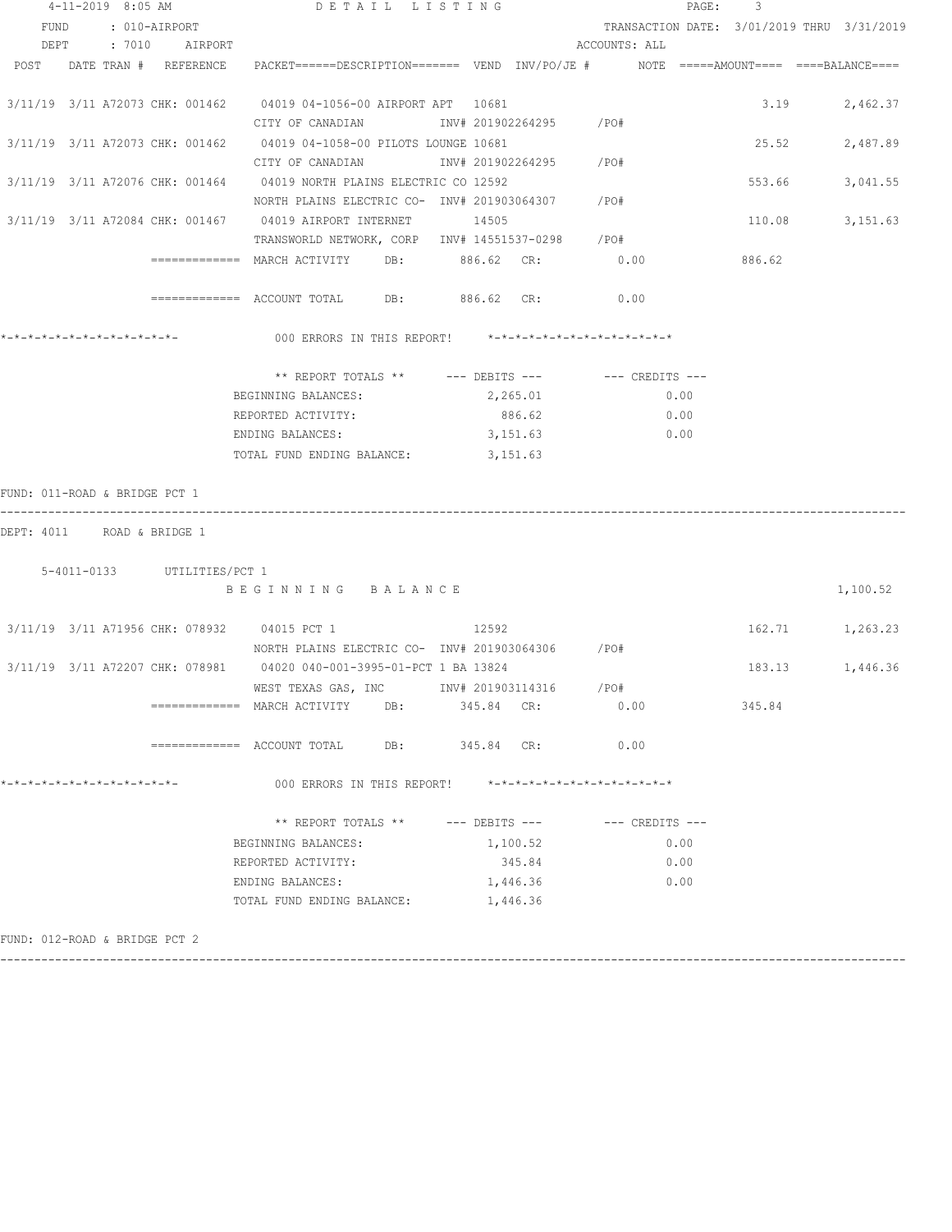| 4-11-2019 8:05 AM             |  |               |                   |                             |                                                                                         | DETAIL LISTING |       |  |                                  |               |      | PAGE:    | -3                                         |                 |
|-------------------------------|--|---------------|-------------------|-----------------------------|-----------------------------------------------------------------------------------------|----------------|-------|--|----------------------------------|---------------|------|----------|--------------------------------------------|-----------------|
| FUND                          |  | : 010-AIRPORT |                   |                             |                                                                                         |                |       |  |                                  |               |      |          | TRANSACTION DATE: 3/01/2019 THRU 3/31/2019 |                 |
|                               |  |               |                   | DEPT : 7010 AIRPORT         |                                                                                         |                |       |  |                                  | ACCOUNTS: ALL |      |          |                                            |                 |
|                               |  |               |                   | POST DATE TRAN # REFERENCE  | PACKET======DESCRIPTION======= VEND INV/PO/JE #    NOTE =====AMOUNT==== ====BALANCE==== |                |       |  |                                  |               |      |          |                                            |                 |
|                               |  |               |                   |                             |                                                                                         |                |       |  |                                  |               |      |          |                                            |                 |
|                               |  |               |                   |                             | 3/11/19 3/11 A72073 CHK: 001462 04019 04-1056-00 AIRPORT APT 10681                      |                |       |  |                                  |               |      |          | 3.19                                       | 2,462.37        |
|                               |  |               |                   |                             | CITY OF CANADIAN                                                                        |                |       |  | INV# 201902264295 / PO#          |               |      |          |                                            |                 |
|                               |  |               |                   |                             | 3/11/19 3/11 A72073 CHK: 001462 04019 04-1058-00 PILOTS LOUNGE 10681                    |                |       |  |                                  |               |      |          | 25.52                                      | 2,487.89        |
|                               |  |               |                   |                             | CITY OF CANADIAN                                                                        |                |       |  | INV# 201902264295 /PO#           |               |      |          |                                            |                 |
|                               |  |               |                   |                             | 3/11/19 3/11 A72076 CHK: 001464 04019 NORTH PLAINS ELECTRIC CO 12592                    |                |       |  |                                  |               |      |          | 553.66                                     | 3,041.55        |
|                               |  |               |                   |                             | NORTH PLAINS ELECTRIC CO- INV# 201903064307 / PO#                                       |                |       |  |                                  |               |      |          |                                            |                 |
|                               |  |               |                   |                             | 3/11/19 3/11 A72084 CHK: 001467 04019 AIRPORT INTERNET 14505                            |                |       |  |                                  |               |      |          | 110.08                                     | 3,151.63        |
|                               |  |               |                   |                             | TRANSWORLD NETWORK, CORP INV# 14551537-0298 /PO#                                        |                |       |  |                                  |               |      |          |                                            |                 |
|                               |  |               |                   |                             | ============= MARCH ACTIVITY DB: 886.62 CR: 0.00                                        |                |       |  |                                  |               |      |          | 886.62                                     |                 |
|                               |  |               |                   |                             |                                                                                         |                |       |  |                                  |               |      |          |                                            |                 |
|                               |  |               |                   |                             | ============= ACCOUNT TOTAL DB: 886.62 CR: 0.00                                         |                |       |  |                                  |               |      |          |                                            |                 |
|                               |  |               |                   |                             |                                                                                         |                |       |  |                                  |               |      |          |                                            |                 |
|                               |  |               |                   |                             | 000 ERRORS IN THIS REPORT! *-*-*-*-*-*-*-*-*-*-*-*-*-*-                                 |                |       |  |                                  |               |      |          |                                            |                 |
|                               |  |               |                   |                             |                                                                                         |                |       |  |                                  |               |      |          |                                            |                 |
|                               |  |               |                   |                             | ** REPORT TOTALS ** --- DEBITS --- -- CREDITS ---                                       |                |       |  |                                  |               |      |          |                                            |                 |
|                               |  |               |                   |                             | BEGINNING BALANCES:                                                                     |                |       |  | 2,265.01                         |               | 0.00 |          |                                            |                 |
|                               |  |               |                   |                             | REPORTED ACTIVITY:                                                                      |                |       |  | 886.62                           |               | 0.00 |          |                                            |                 |
|                               |  |               |                   |                             | ENDING BALANCES:                                                                        |                |       |  | 3,151.63                         |               | 0.00 |          |                                            |                 |
|                               |  |               |                   |                             | TOTAL FUND ENDING BALANCE: 3,151.63                                                     |                |       |  |                                  |               |      |          |                                            |                 |
|                               |  |               |                   |                             |                                                                                         |                |       |  |                                  |               |      |          |                                            |                 |
| FUND: 011-ROAD & BRIDGE PCT 1 |  |               |                   |                             |                                                                                         |                |       |  |                                  |               |      |          |                                            |                 |
|                               |  |               |                   |                             |                                                                                         |                |       |  |                                  |               |      |          |                                            |                 |
| DEPT: 4011 ROAD & BRIDGE 1    |  |               |                   |                             |                                                                                         |                |       |  |                                  |               |      |          |                                            |                 |
|                               |  |               |                   |                             |                                                                                         |                |       |  |                                  |               |      |          |                                            |                 |
|                               |  |               |                   | 5-4011-0133 UTILITIES/PCT 1 |                                                                                         |                |       |  |                                  |               |      |          |                                            |                 |
|                               |  |               | BEGINNING BALANCE |                             |                                                                                         |                |       |  |                                  |               |      | 1,100.52 |                                            |                 |
|                               |  |               |                   |                             |                                                                                         |                |       |  |                                  |               |      |          |                                            |                 |
|                               |  |               |                   |                             | 3/11/19 3/11 A71956 CHK: 078932 04015 PCT 1                                             |                | 12592 |  |                                  |               |      |          |                                            | 162.71 1,263.23 |
|                               |  |               |                   |                             | NORTH PLAINS ELECTRIC CO- INV# 201903064306 / PO#                                       |                |       |  |                                  |               |      |          |                                            |                 |
|                               |  |               |                   |                             | 3/11/19 3/11 A72207 CHK: 078981 04020 040-001-3995-01-PCT 1 BA 13824                    |                |       |  |                                  |               |      |          | 183.13                                     | 1,446.36        |
|                               |  |               |                   |                             | WEST TEXAS GAS, INC MW# 201903114316                                                    |                |       |  |                                  | /PO#          |      |          |                                            |                 |
|                               |  |               |                   |                             | ============= MARCH ACTIVITY                                                            | DB:            |       |  | 345.84 CR:                       |               | 0.00 |          | 345.84                                     |                 |
|                               |  |               |                   |                             |                                                                                         |                |       |  |                                  |               |      |          |                                            |                 |
|                               |  |               |                   |                             | ============ ACCOUNT TOTAL DB: 345.84 CR: 0.00                                          |                |       |  |                                  |               |      |          |                                            |                 |
|                               |  |               |                   |                             |                                                                                         |                |       |  |                                  |               |      |          |                                            |                 |
| *-*-*-*-*-*-*-*-*-*-*-*-*-*-  |  |               |                   |                             | 000 ERRORS IN THIS REPORT! *-*-*-*-*-*-*-*-*-*-*-*-*-*-                                 |                |       |  |                                  |               |      |          |                                            |                 |
|                               |  |               |                   |                             |                                                                                         |                |       |  |                                  |               |      |          |                                            |                 |
|                               |  |               |                   |                             | ** REPORT TOTALS **                                                                     |                |       |  | --- DEBITS --- -- -- CREDITS --- |               |      |          |                                            |                 |
|                               |  |               |                   |                             | BEGINNING BALANCES:                                                                     |                |       |  | 1,100.52                         |               |      | 0.00     |                                            |                 |
|                               |  |               |                   |                             | REPORTED ACTIVITY:                                                                      |                |       |  | 345.84                           |               |      | 0.00     |                                            |                 |
|                               |  |               |                   |                             | ENDING BALANCES:                                                                        |                |       |  | 1,446.36                         |               | 0.00 |          |                                            |                 |
|                               |  |               |                   |                             |                                                                                         |                |       |  |                                  |               |      |          |                                            |                 |
|                               |  |               |                   |                             | TOTAL FUND ENDING BALANCE:                                                              |                |       |  | 1,446.36                         |               |      |          |                                            |                 |
|                               |  |               |                   |                             |                                                                                         |                |       |  |                                  |               |      |          |                                            |                 |

------------------------------------------------------------------------------------------------------------------------------------

FUND: 012-ROAD & BRIDGE PCT 2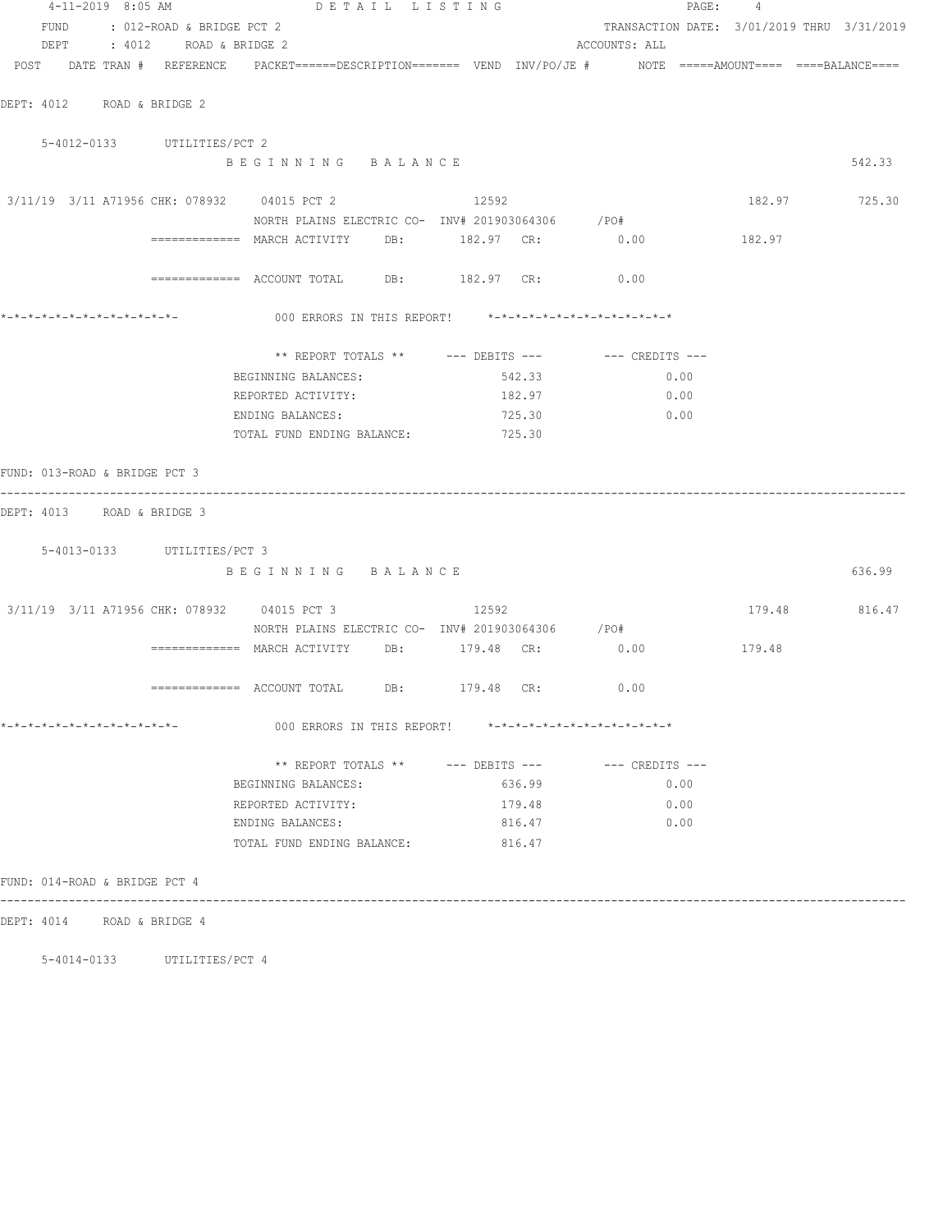| 4-11-2019 8:05 AM                                                                                               |                                                          | DETAIL LISTING                                           |        |                                                        | PAGE: 4                                    |               |
|-----------------------------------------------------------------------------------------------------------------|----------------------------------------------------------|----------------------------------------------------------|--------|--------------------------------------------------------|--------------------------------------------|---------------|
| FUND : 012-ROAD & BRIDGE PCT 2                                                                                  |                                                          |                                                          |        |                                                        | TRANSACTION DATE: 3/01/2019 THRU 3/31/2019 |               |
| DEPT : 4012 ROAD & BRIDGE 2                                                                                     |                                                          |                                                          |        | ACCOUNTS: ALL                                          |                                            |               |
| POST DATE TRAN # REFERENCE PACKET======DESCRIPTION======= VEND INV/PO/JE # NOTE =====AMOUNT==== ====BALANCE==== |                                                          |                                                          |        |                                                        |                                            |               |
|                                                                                                                 |                                                          |                                                          |        |                                                        |                                            |               |
| DEPT: 4012 ROAD & BRIDGE 2                                                                                      |                                                          |                                                          |        |                                                        |                                            |               |
| 5-4012-0133 UTILITIES/PCT 2                                                                                     |                                                          |                                                          |        |                                                        |                                            |               |
|                                                                                                                 |                                                          | BEGINNING BALANCE                                        |        |                                                        |                                            | 542.33        |
| 3/11/19 3/11 A71956 CHK: 078932 04015 PCT 2 2 12592                                                             |                                                          |                                                          |        |                                                        |                                            |               |
|                                                                                                                 |                                                          | NORTH PLAINS ELECTRIC CO- INV# 201903064306 / PO#        |        |                                                        |                                            | 182.97 725.30 |
|                                                                                                                 | ============== MARCH ACTIVITY DB: 182.97 CR: 0.00 182.97 |                                                          |        |                                                        |                                            |               |
|                                                                                                                 |                                                          |                                                          |        |                                                        |                                            |               |
|                                                                                                                 | ============ ACCOUNT TOTAL DB: 182.97 CR: 0.00           |                                                          |        |                                                        |                                            |               |
|                                                                                                                 |                                                          |                                                          |        |                                                        |                                            |               |
|                                                                                                                 |                                                          |                                                          |        |                                                        |                                            |               |
|                                                                                                                 |                                                          |                                                          |        | ** REPORT TOTALS ** $---$ DEBITS --- $---$ CREDITS --- |                                            |               |
|                                                                                                                 | BEGINNING BALANCES:                                      |                                                          | 542.33 | 0.00                                                   |                                            |               |
|                                                                                                                 | REPORTED ACTIVITY:                                       |                                                          | 182.97 | 0.00                                                   |                                            |               |
|                                                                                                                 | ENDING BALANCES:                                         |                                                          | 725.30 | 0.00                                                   |                                            |               |
|                                                                                                                 |                                                          | TOTAL FUND ENDING BALANCE: 725.30                        |        |                                                        |                                            |               |
| FUND: 013-ROAD & BRIDGE PCT 3                                                                                   |                                                          |                                                          |        |                                                        |                                            |               |
| DEPT: 4013 ROAD & BRIDGE 3                                                                                      |                                                          |                                                          |        |                                                        |                                            |               |
|                                                                                                                 |                                                          |                                                          |        |                                                        |                                            |               |
| 5-4013-0133 UTILITIES/PCT 3                                                                                     |                                                          |                                                          |        |                                                        |                                            |               |
|                                                                                                                 |                                                          | BEGINNING BALANCE                                        |        |                                                        |                                            | 636.99        |
| 3/11/19 3/11 A71956 CHK: 078932 04015 PCT 3 3/11/19 3/11 A71956 CHK: 078932                                     |                                                          |                                                          |        |                                                        |                                            | 179.48 816.47 |
|                                                                                                                 |                                                          | NORTH PLAINS ELECTRIC CO- INV# 201903064306 / PO#        |        |                                                        |                                            |               |
|                                                                                                                 | ============ MARCH ACTIVITY DB: 179.48 CR: 0.00          |                                                          |        |                                                        | 179.48                                     |               |
|                                                                                                                 |                                                          |                                                          |        |                                                        |                                            |               |
|                                                                                                                 | ============ ACCOUNT TOTAL DB: 179.48 CR: 0.00           |                                                          |        |                                                        |                                            |               |
| *-*-*-*-*-*-*-*-*-*-*-*-*-*-                                                                                    |                                                          | 000 ERRORS IN THIS REPORT! *-*-*-*-*-*-*-*-*-*-*-*-*-*-* |        |                                                        |                                            |               |
|                                                                                                                 |                                                          |                                                          |        | ** REPORT TOTALS ** --- DEBITS --- -- CREDITS ---      |                                            |               |
|                                                                                                                 | BEGINNING BALANCES:                                      |                                                          | 636.99 | 0.00                                                   |                                            |               |
|                                                                                                                 | REPORTED ACTIVITY:                                       |                                                          | 179.48 | 0.00                                                   |                                            |               |
|                                                                                                                 | ENDING BALANCES:                                         |                                                          | 816.47 | 0.00                                                   |                                            |               |
|                                                                                                                 |                                                          | TOTAL FUND ENDING BALANCE:                               | 816.47 |                                                        |                                            |               |
| FUND: 014-ROAD & BRIDGE PCT 4                                                                                   |                                                          |                                                          |        |                                                        |                                            |               |
| DEPT: 4014 ROAD & BRIDGE 4                                                                                      |                                                          |                                                          |        |                                                        |                                            |               |
|                                                                                                                 |                                                          |                                                          |        |                                                        |                                            |               |

5-4014-0133 UTILITIES/PCT 4